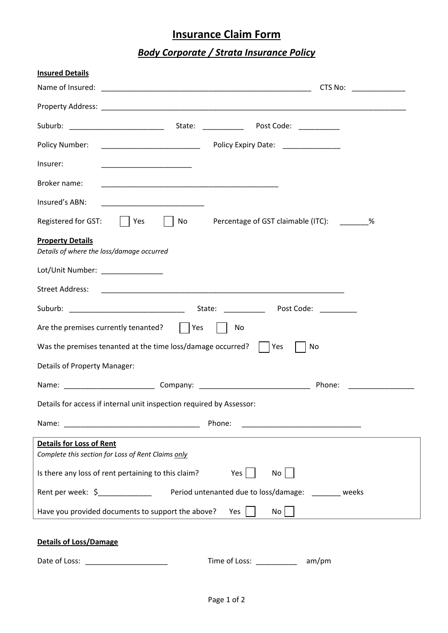## **Insurance Claim Form**

## *Body Corporate / Strata Insurance Policy*

| <b>Insured Details</b>                                                                                                                 |  |  |  |  |  |
|----------------------------------------------------------------------------------------------------------------------------------------|--|--|--|--|--|
| Name of Insured:<br>CTS No:<br><u> Tanzania (m. 1888)</u>                                                                              |  |  |  |  |  |
|                                                                                                                                        |  |  |  |  |  |
|                                                                                                                                        |  |  |  |  |  |
| Policy Expiry Date: _______________<br>Policy Number:                                                                                  |  |  |  |  |  |
| Insurer:                                                                                                                               |  |  |  |  |  |
| Broker name:<br><u> 1989 - Johann John Stone, mars eta biztanleria (h. 1989).</u>                                                      |  |  |  |  |  |
| Insured's ABN:<br><u> 1989 - Johann John Stein, markin fan it ferskearre fan it ferskearre fan it ferskearre fan it ferskearre fan</u> |  |  |  |  |  |
| Registered for GST:<br>No<br>Percentage of GST claimable (ITC): 2002<br>Yes                                                            |  |  |  |  |  |
| <b>Property Details</b><br>Details of where the loss/damage occurred                                                                   |  |  |  |  |  |
| Lot/Unit Number: ______________                                                                                                        |  |  |  |  |  |
| <b>Street Address:</b>                                                                                                                 |  |  |  |  |  |
| Suburb: _________________________________<br>State:<br>Post Code: National Post Code:                                                  |  |  |  |  |  |
| Are the premises currently tenanted?<br>Yes<br>No                                                                                      |  |  |  |  |  |
| Was the premises tenanted at the time loss/damage occurred?<br>No<br>Yes                                                               |  |  |  |  |  |
| Details of Property Manager:                                                                                                           |  |  |  |  |  |
| Phone:                                                                                                                                 |  |  |  |  |  |
| Details for access if internal unit inspection required by Assessor:                                                                   |  |  |  |  |  |
| Phone:                                                                                                                                 |  |  |  |  |  |
| <b>Details for Loss of Rent</b>                                                                                                        |  |  |  |  |  |
| Complete this section for Loss of Rent Claims only                                                                                     |  |  |  |  |  |
| Is there any loss of rent pertaining to this claim?<br>Yes  <br>No                                                                     |  |  |  |  |  |
| Rent per week: \$<br>1990 - Period untenanted due to loss/damage: 1991 - 2012 - 2014                                                   |  |  |  |  |  |
| Have you provided documents to support the above?<br>$No$    <br>Yes                                                                   |  |  |  |  |  |
| <b>Details of Loss/Damage</b>                                                                                                          |  |  |  |  |  |
| Time of Loss: ___________<br>am/pm                                                                                                     |  |  |  |  |  |